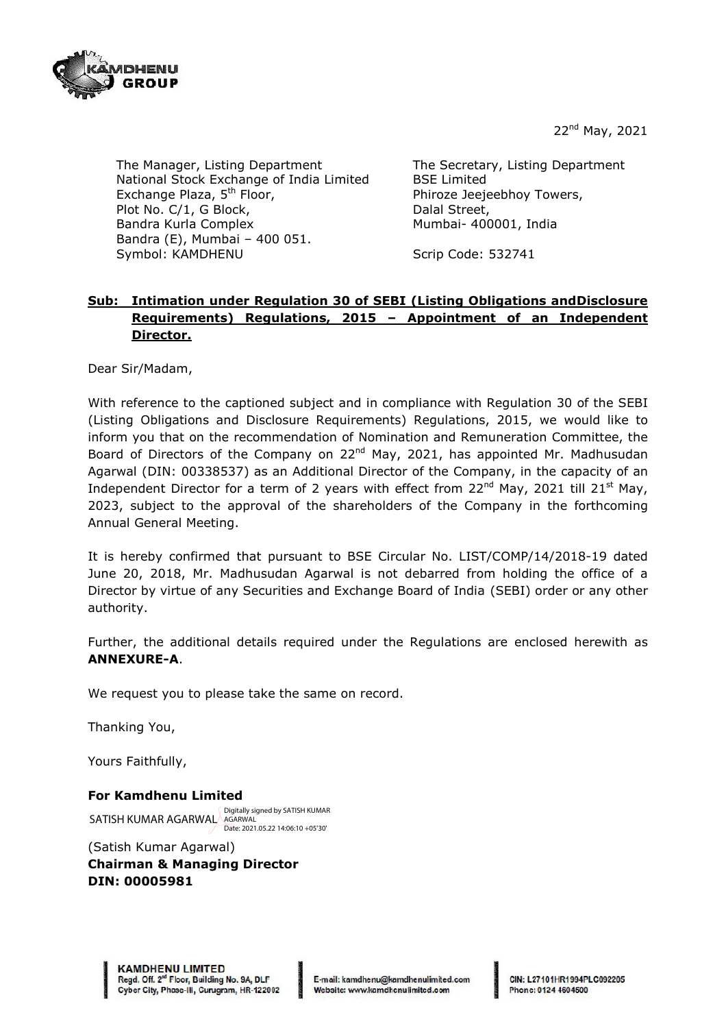

22nd May, 2021

The Manager, Listing Department National Stock Exchange of India Limited Exchange Plaza, 5<sup>th</sup> Floor, Plot No. C/1, G Block, Bandra Kurla Complex Bandra (E), Mumbai – 400 051. Symbol: KAMDHENU

The Secretary, Listing Department BSE Limited Phiroze Jeejeebhoy Towers, Dalal Street, Mumbai- 400001, India

Scrip Code: 532741

# **Sub: Intimation under Regulation 30 of SEBI (Listing Obligations andDisclosure Requirements) Regulations, 2015 – Appointment of an Independent Director.**

Dear Sir/Madam,

With reference to the captioned subject and in compliance with Regulation 30 of the SEBI (Listing Obligations and Disclosure Requirements) Regulations, 2015, we would like to inform you that on the recommendation of Nomination and Remuneration Committee, the Board of Directors of the Company on  $22^{nd}$  May, 2021, has appointed Mr. Madhusudan Agarwal (DIN: 00338537) as an Additional Director of the Company, in the capacity of an Independent Director for a term of 2 years with effect from  $22^{nd}$  May,  $2021$  till  $21^{st}$  May, 2023, subject to the approval of the shareholders of the Company in the forthcoming Annual General Meeting.

It is hereby confirmed that pursuant to BSE Circular No. LIST/COMP/14/2018-19 dated June 20, 2018, Mr. Madhusudan Agarwal is not debarred from holding the office of a Director by virtue of any Securities and Exchange Board of India (SEBI) order or any other authority.

Further, the additional details required under the Regulations are enclosed herewith as **ANNEXURE-A**.

We request you to please take the same on record.

Thanking You,

Yours Faithfully,

### **For Kamdhenu Limited**

SATISH KUMAR AGARWAL AGARWAL Digitally signed by SATISH KUMAR Date: 2021.05.22 14:06:10 +05'30'

(Satish Kumar Agarwal) **Chairman & Managing Director DIN: 00005981**